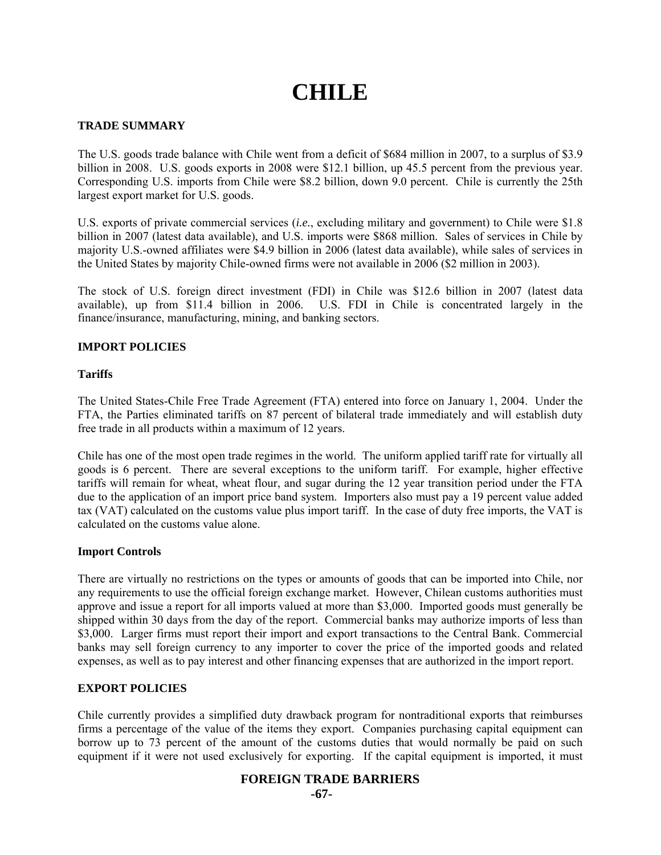# **CHILE**

## **TRADE SUMMARY**

The U.S. goods trade balance with Chile went from a deficit of \$684 million in 2007, to a surplus of \$3.9 billion in 2008. U.S. goods exports in 2008 were \$12.1 billion, up 45.5 percent from the previous year. Corresponding U.S. imports from Chile were \$8.2 billion, down 9.0 percent. Chile is currently the 25th largest export market for U.S. goods.

U.S. exports of private commercial services (*i.e.*, excluding military and government) to Chile were \$1.8 billion in 2007 (latest data available), and U.S. imports were \$868 million. Sales of services in Chile by majority U.S.-owned affiliates were \$4.9 billion in 2006 (latest data available), while sales of services in the United States by majority Chile-owned firms were not available in 2006 (\$2 million in 2003).

The stock of U.S. foreign direct investment (FDI) in Chile was \$12.6 billion in 2007 (latest data available), up from \$11.4 billion in 2006. U.S. FDI in Chile is concentrated largely in the finance/insurance, manufacturing, mining, and banking sectors.

## **IMPORT POLICIES**

#### **Tariffs**

The United States-Chile Free Trade Agreement (FTA) entered into force on January 1, 2004. Under the FTA, the Parties eliminated tariffs on 87 percent of bilateral trade immediately and will establish duty free trade in all products within a maximum of 12 years.

Chile has one of the most open trade regimes in the world. The uniform applied tariff rate for virtually all goods is 6 percent. There are several exceptions to the uniform tariff. For example, higher effective tariffs will remain for wheat, wheat flour, and sugar during the 12 year transition period under the FTA due to the application of an import price band system. Importers also must pay a 19 percent value added tax (VAT) calculated on the customs value plus import tariff. In the case of duty free imports, the VAT is calculated on the customs value alone.

#### **Import Controls**

There are virtually no restrictions on the types or amounts of goods that can be imported into Chile, nor any requirements to use the official foreign exchange market. However, Chilean customs authorities must approve and issue a report for all imports valued at more than \$3,000. Imported goods must generally be shipped within 30 days from the day of the report. Commercial banks may authorize imports of less than \$3,000. Larger firms must report their import and export transactions to the Central Bank. Commercial banks may sell foreign currency to any importer to cover the price of the imported goods and related expenses, as well as to pay interest and other financing expenses that are authorized in the import report.

#### **EXPORT POLICIES**

Chile currently provides a simplified duty drawback program for nontraditional exports that reimburses firms a percentage of the value of the items they export. Companies purchasing capital equipment can borrow up to 73 percent of the amount of the customs duties that would normally be paid on such equipment if it were not used exclusively for exporting. If the capital equipment is imported, it must

# **FOREIGN TRADE BARRIERS**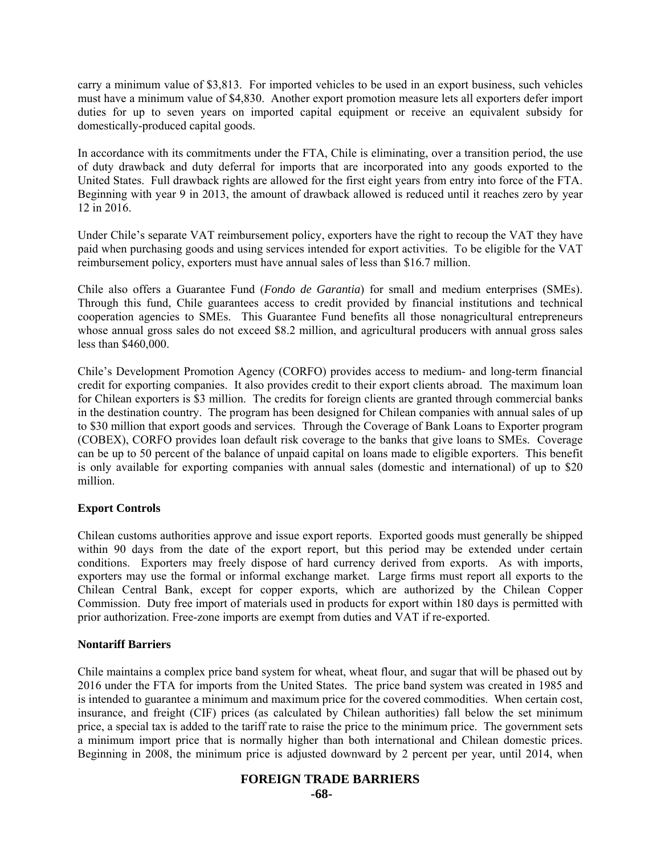carry a minimum value of \$3,813. For imported vehicles to be used in an export business, such vehicles must have a minimum value of \$4,830. Another export promotion measure lets all exporters defer import duties for up to seven years on imported capital equipment or receive an equivalent subsidy for domestically-produced capital goods.

In accordance with its commitments under the FTA, Chile is eliminating, over a transition period, the use of duty drawback and duty deferral for imports that are incorporated into any goods exported to the United States. Full drawback rights are allowed for the first eight years from entry into force of the FTA. Beginning with year 9 in 2013, the amount of drawback allowed is reduced until it reaches zero by year 12 in 2016.

Under Chile's separate VAT reimbursement policy, exporters have the right to recoup the VAT they have paid when purchasing goods and using services intended for export activities. To be eligible for the VAT reimbursement policy, exporters must have annual sales of less than \$16.7 million.

Chile also offers a Guarantee Fund (*Fondo de Garantia*) for small and medium enterprises (SMEs). Through this fund, Chile guarantees access to credit provided by financial institutions and technical cooperation agencies to SMEs. This Guarantee Fund benefits all those nonagricultural entrepreneurs whose annual gross sales do not exceed \$8.2 million, and agricultural producers with annual gross sales less than \$460,000.

Chile's Development Promotion Agency (CORFO) provides access to medium- and long-term financial credit for exporting companies. It also provides credit to their export clients abroad. The maximum loan for Chilean exporters is \$3 million. The credits for foreign clients are granted through commercial banks in the destination country. The program has been designed for Chilean companies with annual sales of up to \$30 million that export goods and services. Through the Coverage of Bank Loans to Exporter program (COBEX), CORFO provides loan default risk coverage to the banks that give loans to SMEs. Coverage can be up to 50 percent of the balance of unpaid capital on loans made to eligible exporters. This benefit is only available for exporting companies with annual sales (domestic and international) of up to \$20 million.

#### **Export Controls**

Chilean customs authorities approve and issue export reports. Exported goods must generally be shipped within 90 days from the date of the export report, but this period may be extended under certain conditions. Exporters may freely dispose of hard currency derived from exports. As with imports, exporters may use the formal or informal exchange market. Large firms must report all exports to the Chilean Central Bank, except for copper exports, which are authorized by the Chilean Copper Commission. Duty free import of materials used in products for export within 180 days is permitted with prior authorization. Free-zone imports are exempt from duties and VAT if re-exported.

#### **Nontariff Barriers**

Chile maintains a complex price band system for wheat, wheat flour, and sugar that will be phased out by 2016 under the FTA for imports from the United States. The price band system was created in 1985 and is intended to guarantee a minimum and maximum price for the covered commodities. When certain cost, insurance, and freight (CIF) prices (as calculated by Chilean authorities) fall below the set minimum price, a special tax is added to the tariff rate to raise the price to the minimum price. The government sets a minimum import price that is normally higher than both international and Chilean domestic prices. Beginning in 2008, the minimum price is adjusted downward by 2 percent per year, until 2014, when

# **FOREIGN TRADE BARRIERS**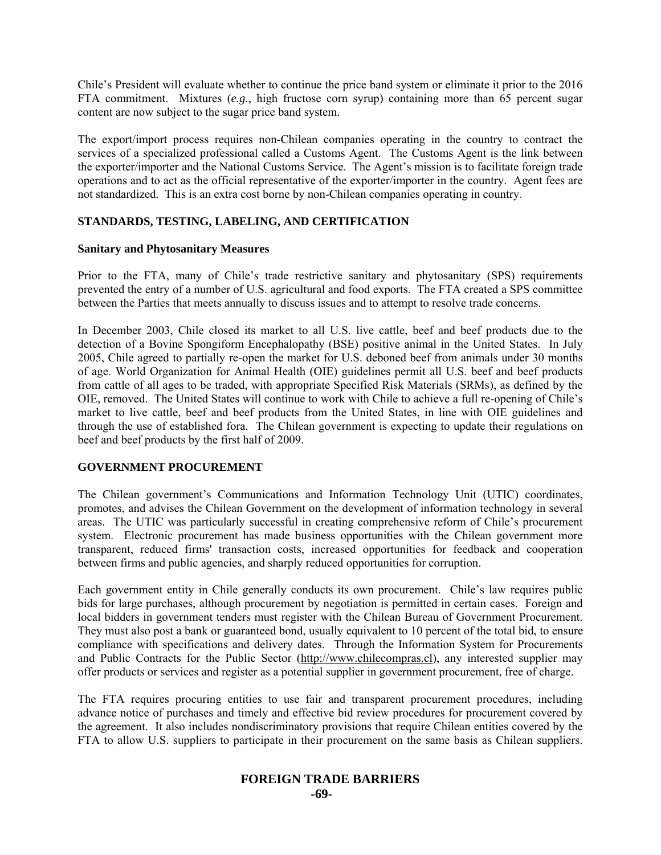Chile's President will evaluate whether to continue the price band system or eliminate it prior to the 2016 FTA commitment. Mixtures (*e.g.*, high fructose corn syrup) containing more than 65 percent sugar content are now subject to the sugar price band system.

The export/import process requires non-Chilean companies operating in the country to contract the services of a specialized professional called a Customs Agent. The Customs Agent is the link between the exporter/importer and the National Customs Service. The Agent's mission is to facilitate foreign trade operations and to act as the official representative of the exporter/importer in the country. Agent fees are not standardized. This is an extra cost borne by non-Chilean companies operating in country.

#### **STANDARDS, TESTING, LABELING, AND CERTIFICATION**

#### **Sanitary and Phytosanitary Measures**

Prior to the FTA, many of Chile's trade restrictive sanitary and phytosanitary (SPS) requirements prevented the entry of a number of U.S. agricultural and food exports. The FTA created a SPS committee between the Parties that meets annually to discuss issues and to attempt to resolve trade concerns.

In December 2003, Chile closed its market to all U.S. live cattle, beef and beef products due to the detection of a Bovine Spongiform Encephalopathy (BSE) positive animal in the United States. In July 2005, Chile agreed to partially re-open the market for U.S. deboned beef from animals under 30 months of age. World Organization for Animal Health (OIE) guidelines permit all U.S. beef and beef products from cattle of all ages to be traded, with appropriate Specified Risk Materials (SRMs), as defined by the OIE, removed. The United States will continue to work with Chile to achieve a full re-opening of Chile's market to live cattle, beef and beef products from the United States, in line with OIE guidelines and through the use of established fora. The Chilean government is expecting to update their regulations on beef and beef products by the first half of 2009.

# **GOVERNMENT PROCUREMENT**

The Chilean government's Communications and Information Technology Unit (UTIC) coordinates, promotes, and advises the Chilean Government on the development of information technology in several areas. The UTIC was particularly successful in creating comprehensive reform of Chile's procurement system. Electronic procurement has made business opportunities with the Chilean government more transparent, reduced firms' transaction costs, increased opportunities for feedback and cooperation between firms and public agencies, and sharply reduced opportunities for corruption.

Each government entity in Chile generally conducts its own procurement. Chile's law requires public bids for large purchases, although procurement by negotiation is permitted in certain cases. Foreign and local bidders in government tenders must register with the Chilean Bureau of Government Procurement. They must also post a bank or guaranteed bond, usually equivalent to 10 percent of the total bid, to ensure compliance with specifications and delivery dates. Through the Information System for Procurements and Public Contracts for the Public Sector (http://www.chilecompras.cl), any interested supplier may offer products or services and register as a potential supplier in government procurement, free of charge.

The FTA requires procuring entities to use fair and transparent procurement procedures, including advance notice of purchases and timely and effective bid review procedures for procurement covered by the agreement. It also includes nondiscriminatory provisions that require Chilean entities covered by the FTA to allow U.S. suppliers to participate in their procurement on the same basis as Chilean suppliers.

# **FOREIGN TRADE BARRIERS**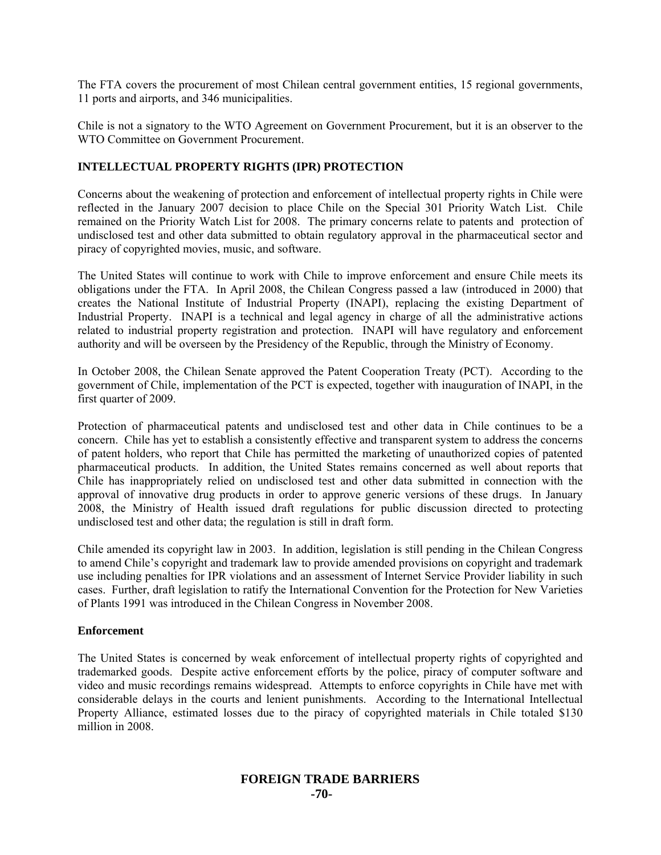The FTA covers the procurement of most Chilean central government entities, 15 regional governments, 11 ports and airports, and 346 municipalities.

Chile is not a signatory to the WTO Agreement on Government Procurement, but it is an observer to the WTO Committee on Government Procurement.

#### **INTELLECTUAL PROPERTY RIGHTS (IPR) PROTECTION**

Concerns about the weakening of protection and enforcement of intellectual property rights in Chile were reflected in the January 2007 decision to place Chile on the Special 301 Priority Watch List. Chile remained on the Priority Watch List for 2008. The primary concerns relate to patents and protection of undisclosed test and other data submitted to obtain regulatory approval in the pharmaceutical sector and piracy of copyrighted movies, music, and software.

The United States will continue to work with Chile to improve enforcement and ensure Chile meets its obligations under the FTA. In April 2008, the Chilean Congress passed a law (introduced in 2000) that creates the National Institute of Industrial Property (INAPI), replacing the existing Department of Industrial Property. INAPI is a technical and legal agency in charge of all the administrative actions related to industrial property registration and protection. INAPI will have regulatory and enforcement authority and will be overseen by the Presidency of the Republic, through the Ministry of Economy.

In October 2008, the Chilean Senate approved the Patent Cooperation Treaty (PCT). According to the government of Chile, implementation of the PCT is expected, together with inauguration of INAPI, in the first quarter of 2009.

Protection of pharmaceutical patents and undisclosed test and other data in Chile continues to be a concern. Chile has yet to establish a consistently effective and transparent system to address the concerns of patent holders, who report that Chile has permitted the marketing of unauthorized copies of patented pharmaceutical products. In addition, the United States remains concerned as well about reports that Chile has inappropriately relied on undisclosed test and other data submitted in connection with the approval of innovative drug products in order to approve generic versions of these drugs. In January 2008, the Ministry of Health issued draft regulations for public discussion directed to protecting undisclosed test and other data; the regulation is still in draft form.

Chile amended its copyright law in 2003. In addition, legislation is still pending in the Chilean Congress to amend Chile's copyright and trademark law to provide amended provisions on copyright and trademark use including penalties for IPR violations and an assessment of Internet Service Provider liability in such cases. Further, draft legislation to ratify the International Convention for the Protection for New Varieties of Plants 1991 was introduced in the Chilean Congress in November 2008.

#### **Enforcement**

The United States is concerned by weak enforcement of intellectual property rights of copyrighted and trademarked goods. Despite active enforcement efforts by the police, piracy of computer software and video and music recordings remains widespread. Attempts to enforce copyrights in Chile have met with considerable delays in the courts and lenient punishments. According to the International Intellectual Property Alliance, estimated losses due to the piracy of copyrighted materials in Chile totaled \$130 million in 2008.